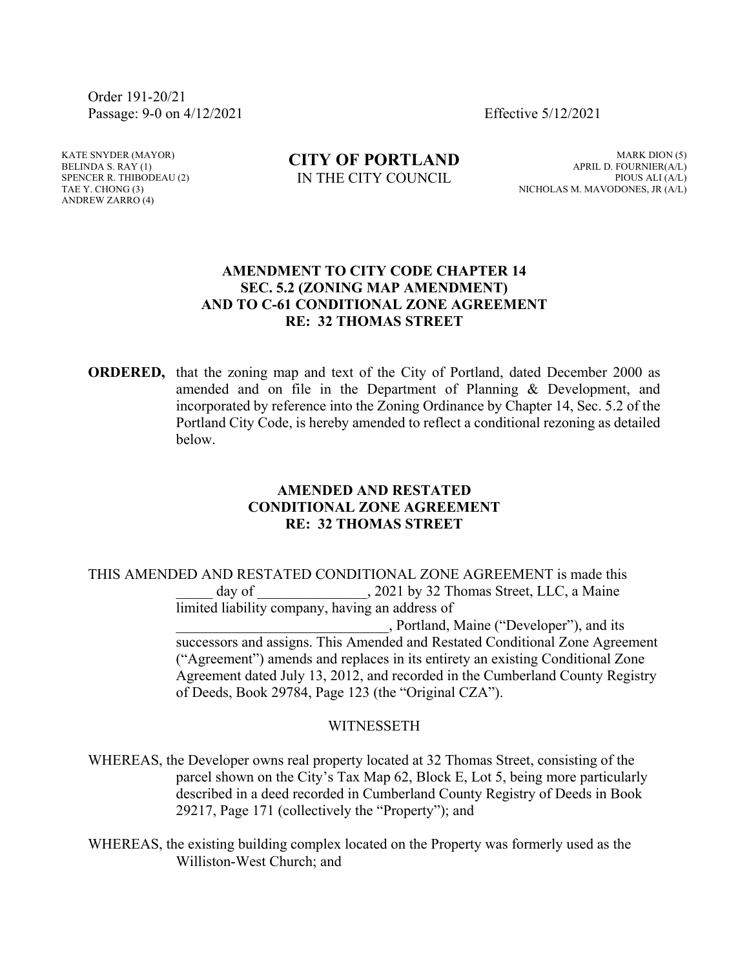Order 191-20/21 Passage: 9-0 on 4/12/2021 Effective 5/12/2021

KATE SNYDER (MAYOR) BELINDA S. RAY (1) SPENCER R. THIBODEAU (2) TAE Y. CHONG (3) ANDREW ZARRO (4)

**CITY OF PORTLAND** IN THE CITY COUNCIL

MARK DION (5) APRIL D. FOURNIER(A/L) PIOUS ALI (A/L) NICHOLAS M. MAVODONES, JR (A/L)

## **AMENDMENT TO CITY CODE CHAPTER 14 SEC. 5.2 (ZONING MAP AMENDMENT) AND TO C-61 CONDITIONAL ZONE AGREEMENT RE: 32 THOMAS STREET**

**ORDERED,** that the zoning map and text of the City of Portland, dated December 2000 as amended and on file in the Department of Planning & Development, and incorporated by reference into the Zoning Ordinance by Chapter 14, Sec. 5.2 of the Portland City Code, is hereby amended to reflect a conditional rezoning as detailed below.

## **AMENDED AND RESTATED CONDITIONAL ZONE AGREEMENT RE: 32 THOMAS STREET**

THIS AMENDED AND RESTATED CONDITIONAL ZONE AGREEMENT is made this day of  $\qquad \qquad$ , 2021 by 32 Thomas Street, LLC, a Maine limited liability company, having an address of \_\_\_\_\_\_\_\_\_\_\_\_\_\_\_\_\_\_\_\_\_\_\_\_\_\_\_\_\_, Portland, Maine ("Developer"), and its successors and assigns. This Amended and Restated Conditional Zone Agreement ("Agreement") amends and replaces in its entirety an existing Conditional Zone Agreement dated July 13, 2012, and recorded in the Cumberland County Registry of Deeds, Book 29784, Page 123 (the "Original CZA").

## WITNESSETH

WHEREAS, the Developer owns real property located at 32 Thomas Street, consisting of the parcel shown on the City's Tax Map 62, Block E, Lot 5, being more particularly described in a deed recorded in Cumberland County Registry of Deeds in Book 29217, Page 171 (collectively the "Property"); and

WHEREAS, the existing building complex located on the Property was formerly used as the Williston-West Church; and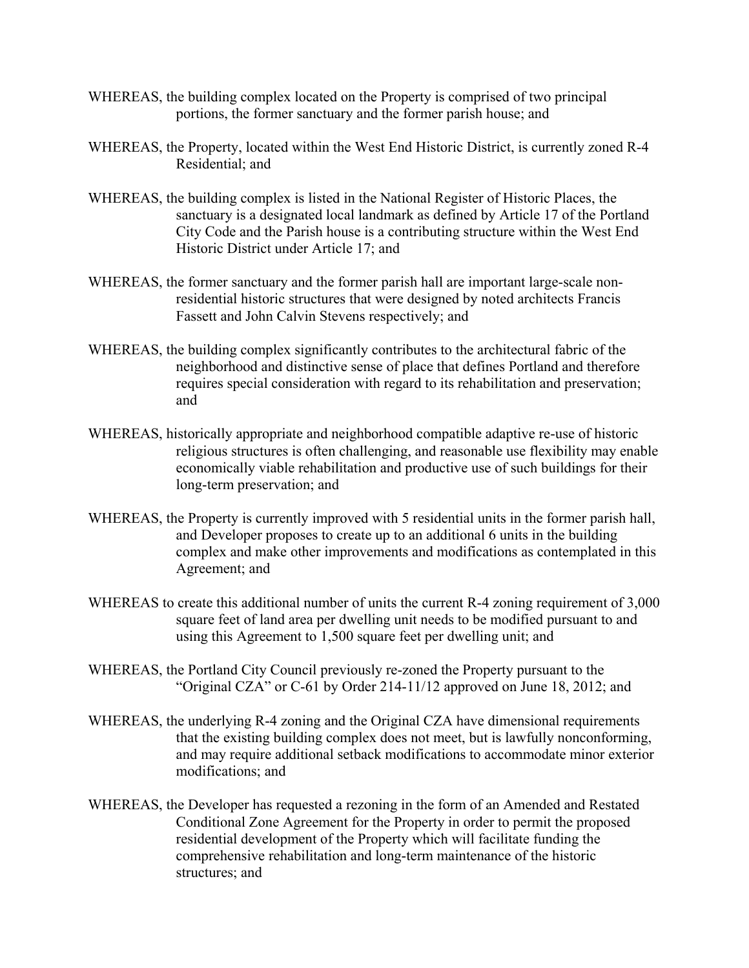- WHEREAS, the building complex located on the Property is comprised of two principal portions, the former sanctuary and the former parish house; and
- WHEREAS, the Property, located within the West End Historic District, is currently zoned R-4 Residential; and
- WHEREAS, the building complex is listed in the National Register of Historic Places, the sanctuary is a designated local landmark as defined by Article 17 of the Portland City Code and the Parish house is a contributing structure within the West End Historic District under Article 17; and
- WHEREAS, the former sanctuary and the former parish hall are important large-scale nonresidential historic structures that were designed by noted architects Francis Fassett and John Calvin Stevens respectively; and
- WHEREAS, the building complex significantly contributes to the architectural fabric of the neighborhood and distinctive sense of place that defines Portland and therefore requires special consideration with regard to its rehabilitation and preservation; and
- WHEREAS, historically appropriate and neighborhood compatible adaptive re-use of historic religious structures is often challenging, and reasonable use flexibility may enable economically viable rehabilitation and productive use of such buildings for their long-term preservation; and
- WHEREAS, the Property is currently improved with 5 residential units in the former parish hall, and Developer proposes to create up to an additional 6 units in the building complex and make other improvements and modifications as contemplated in this Agreement; and
- WHEREAS to create this additional number of units the current R-4 zoning requirement of 3,000 square feet of land area per dwelling unit needs to be modified pursuant to and using this Agreement to 1,500 square feet per dwelling unit; and
- WHEREAS, the Portland City Council previously re-zoned the Property pursuant to the "Original CZA" or C-61 by Order 214-11/12 approved on June 18, 2012; and
- WHEREAS, the underlying R-4 zoning and the Original CZA have dimensional requirements that the existing building complex does not meet, but is lawfully nonconforming, and may require additional setback modifications to accommodate minor exterior modifications; and
- WHEREAS, the Developer has requested a rezoning in the form of an Amended and Restated Conditional Zone Agreement for the Property in order to permit the proposed residential development of the Property which will facilitate funding the comprehensive rehabilitation and long-term maintenance of the historic structures; and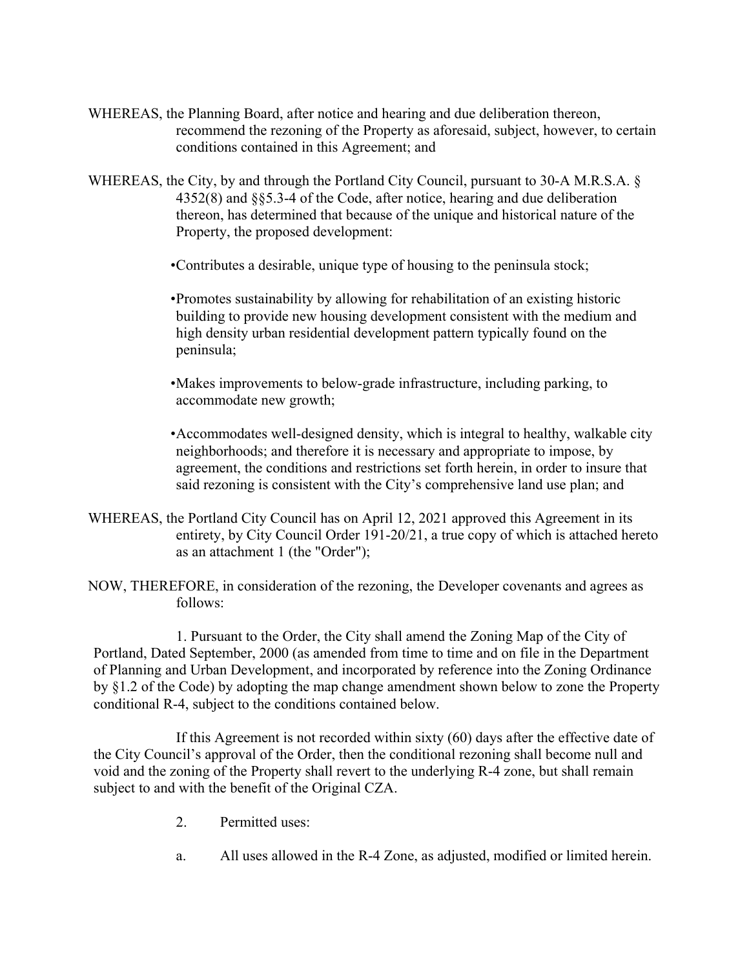- WHEREAS, the Planning Board, after notice and hearing and due deliberation thereon, recommend the rezoning of the Property as aforesaid, subject, however, to certain conditions contained in this Agreement; and
- WHEREAS, the City, by and through the Portland City Council, pursuant to 30-A M.R.S.A. § 4352(8) and §§5.3-4 of the Code, after notice, hearing and due deliberation thereon, has determined that because of the unique and historical nature of the Property, the proposed development:
	- •Contributes a desirable, unique type of housing to the peninsula stock;

•Promotes sustainability by allowing for rehabilitation of an existing historic building to provide new housing development consistent with the medium and high density urban residential development pattern typically found on the peninsula;

•Makes improvements to below-grade infrastructure, including parking, to accommodate new growth;

•Accommodates well-designed density, which is integral to healthy, walkable city neighborhoods; and therefore it is necessary and appropriate to impose, by agreement, the conditions and restrictions set forth herein, in order to insure that said rezoning is consistent with the City's comprehensive land use plan; and

- WHEREAS, the Portland City Council has on April 12, 2021 approved this Agreement in its entirety, by City Council Order 191-20/21, a true copy of which is attached hereto as an attachment 1 (the "Order");
- NOW, THEREFORE, in consideration of the rezoning, the Developer covenants and agrees as follows:

1. Pursuant to the Order, the City shall amend the Zoning Map of the City of Portland, Dated September, 2000 (as amended from time to time and on file in the Department of Planning and Urban Development, and incorporated by reference into the Zoning Ordinance by §1.2 of the Code) by adopting the map change amendment shown below to zone the Property conditional R-4, subject to the conditions contained below.

If this Agreement is not recorded within sixty (60) days after the effective date of the City Council's approval of the Order, then the conditional rezoning shall become null and void and the zoning of the Property shall revert to the underlying R-4 zone, but shall remain subject to and with the benefit of the Original CZA.

- 2. Permitted uses:
- a. All uses allowed in the R-4 Zone, as adjusted, modified or limited herein.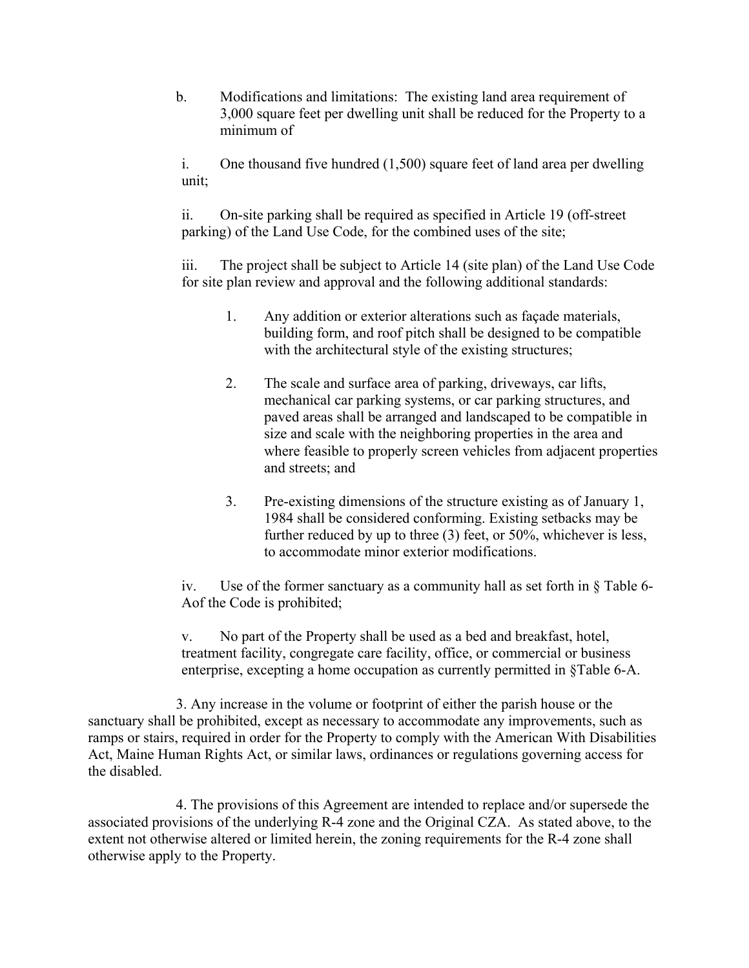b. Modifications and limitations: The existing land area requirement of 3,000 square feet per dwelling unit shall be reduced for the Property to a minimum of

i. One thousand five hundred (1,500) square feet of land area per dwelling unit;

ii. On-site parking shall be required as specified in Article 19 (off-street parking) of the Land Use Code, for the combined uses of the site;

iii. The project shall be subject to Article 14 (site plan) of the Land Use Code for site plan review and approval and the following additional standards:

- 1. Any addition or exterior alterations such as façade materials, building form, and roof pitch shall be designed to be compatible with the architectural style of the existing structures;
- 2. The scale and surface area of parking, driveways, car lifts, mechanical car parking systems, or car parking structures, and paved areas shall be arranged and landscaped to be compatible in size and scale with the neighboring properties in the area and where feasible to properly screen vehicles from adjacent properties and streets; and
- 3. Pre-existing dimensions of the structure existing as of January 1, 1984 shall be considered conforming. Existing setbacks may be further reduced by up to three (3) feet, or 50%, whichever is less, to accommodate minor exterior modifications.

iv. Use of the former sanctuary as a community hall as set forth in § Table 6- Aof the Code is prohibited;

v. No part of the Property shall be used as a bed and breakfast, hotel, treatment facility, congregate care facility, office, or commercial or business enterprise, excepting a home occupation as currently permitted in §Table 6-A.

3. Any increase in the volume or footprint of either the parish house or the sanctuary shall be prohibited, except as necessary to accommodate any improvements, such as ramps or stairs, required in order for the Property to comply with the American With Disabilities Act, Maine Human Rights Act, or similar laws, ordinances or regulations governing access for the disabled.

4. The provisions of this Agreement are intended to replace and/or supersede the associated provisions of the underlying R-4 zone and the Original CZA. As stated above, to the extent not otherwise altered or limited herein, the zoning requirements for the R-4 zone shall otherwise apply to the Property.